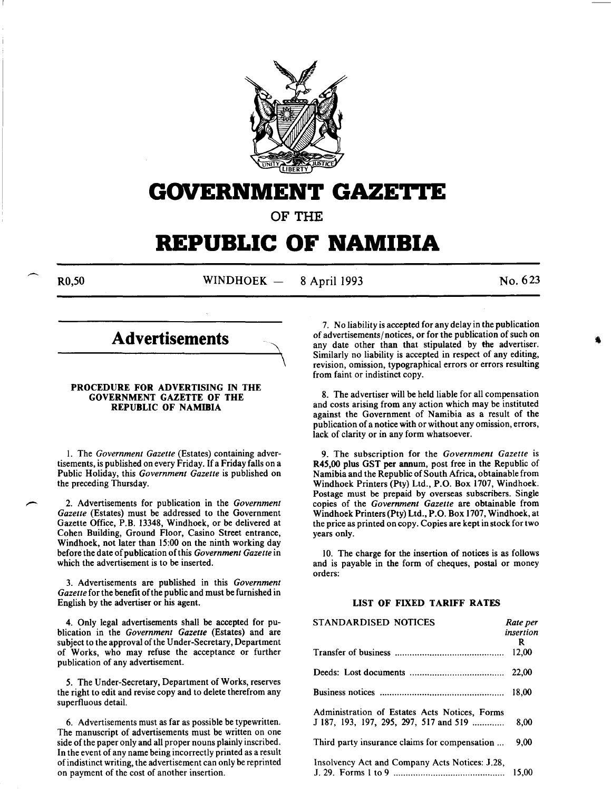

## **GOVERNMENT GAZE'I,'E**

OF THE

# **REPUBLIC OF NAMIBIA**

R0,50 WINDHOEK — 8 April 1993 No. 623

### **Advertisements**

#### PROCEDURE FOR ADVERTISING IN THE GOVERNMENT GAZETTE OF THE REPUBLIC OF NAMIBIA

1. The *Government Gazette* (Estates) containing advertisements, is published on every Friday. If a Friday falls on a Public Holiday, this *Government Gazette* is published on the preceding Thursday.

2. Advertisements for publication in the *Government Gazette* (Estates) must be addressed to the Government Gazette Office, P.B. 13348, Windhoek, or be delivered at Cohen Building, Ground Floor, Casino Street entrance, Windhoek, not later than 15:00 on the ninth working day before the date of publication ofthis *Government Gazette* in which the advertisement is to be inserted.

3. Advertisements are published in this *Government Gazette* for the benefit of the public and must be furnished in English by the advertiser or his agent.

4. Only legal advertisements shall be accepted for publication in the *Government Gazette* (Estates) and are subject to the approval of the Under-Secretary, Department of Works, who may refuse the acceptance or further publication of any advertisement.

5. The Under-Secretary, Department of Works, reserves the right to edit and revise copy and to delete therefrom any superfluous detail.

6. Advertisements must as far as possible be typewritten. The manuscript of advertisements must be written on one side of the paper only and all proper nouns plainly inscribed. In the event of any name being incorrectly printed as a result of indistinct writing, the advertisement can only be reprinted on payment of the cost of another insertion.

7. No liability is accepted for any delay in the publication of advertisements/ notices, or for the publication of such on any date other than that stipulated by the advertiser. Similarly no liability is accepted in respect of any editing, revision, omission, typographical errors or errors resulting from faint or indistinct copy.

8. The advertiser will be held liable for all compensation and costs arising from any action which may be instituted against the Government of Namibia as a result of the publication of a notice with or without any omission, errors, lack of clarity or in any form whatsoever.

9. The subscription for the *Government Gazette* is R45,00 plus GST per annum, post free in the Republic of Namibia and the Republic of South Africa, obtainable from Windhoek Printers (Pty) Ltd., P.O. Box 1707, Windhoek. Postage must be prepaid by overseas subscribers. Single copies of the *Government Gazette* are obtainable from Windhoek Printers (Pty) Ltd., P.O. Box 1707, Windhoek, at the price as printed on copy. Copies are kept in stock for two years only.

10. The charge for the insertion of notices is as follows and is payable in the form of cheques, postal or money orders:

#### LIST OF FIXED TARIFF RATES

| STANDARDISED NOTICES                                                                    | Rate per<br>insertion<br>R |
|-----------------------------------------------------------------------------------------|----------------------------|
|                                                                                         | 12.00                      |
|                                                                                         | 22,00                      |
|                                                                                         | 18.00                      |
| Administration of Estates Acts Notices, Forms<br>J 187, 193, 197, 295, 297, 517 and 519 | 8.00                       |
| Third party insurance claims for compensation                                           | 9.00                       |
| Insolvency Act and Company Acts Notices: J.28,                                          | 15.00                      |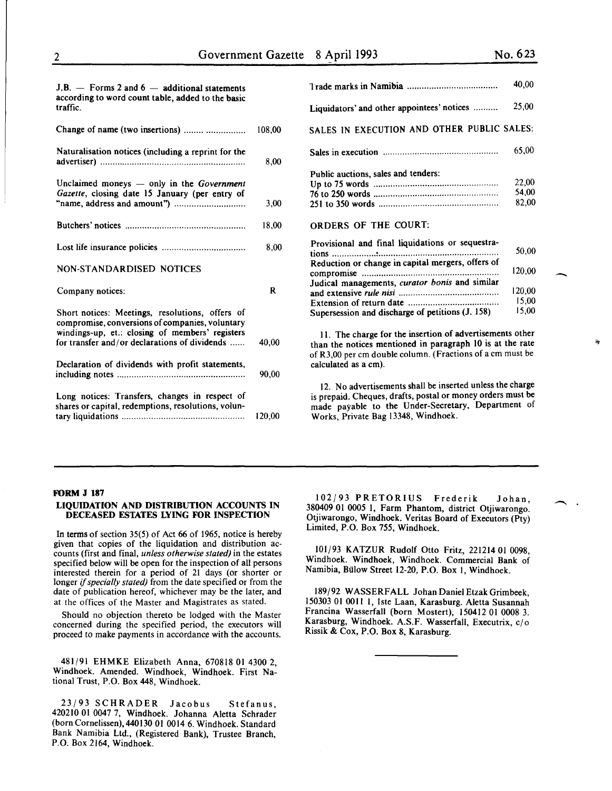| $J.B.$ – Forms 2 and 6 – additional statements    |
|---------------------------------------------------|
| according to word count table, added to the basic |
| traffic.                                          |
|                                                   |

| Change of name (two insertions)                                                                                                                                                                        | 108,00 |
|--------------------------------------------------------------------------------------------------------------------------------------------------------------------------------------------------------|--------|
| Naturalisation notices (including a reprint for the                                                                                                                                                    | 8,00   |
| Unclaimed moneys $-$ only in the <i>Government</i><br>Gazette, closing date 15 January (per entry of                                                                                                   | 3,00   |
|                                                                                                                                                                                                        | 18,00  |
|                                                                                                                                                                                                        | 8,00   |
| NON-STANDARDISED NOTICES                                                                                                                                                                               |        |
| Company notices:                                                                                                                                                                                       | R      |
| Short notices: Meetings, resolutions, offers of<br>compromise, conversions of companies, voluntary<br>windings-up, et.: closing of members' registers<br>for transfer and/or declarations of dividends | 40.00  |
| Declaration of dividends with profit statements,                                                                                                                                                       | 90,00  |
| Long notices: Transfers, changes in respect of<br>shares or capital, redemptions, resolutions, volun-                                                                                                  | 120,00 |

|                                                   | 40,00  |  |  |
|---------------------------------------------------|--------|--|--|
| Liquidators' and other appointees' notices        | 25,00  |  |  |
| SALES IN EXECUTION AND OTHER PUBLIC SALES:        |        |  |  |
|                                                   | 65,00  |  |  |
| Public auctions, sales and tenders:               |        |  |  |
|                                                   | 22,00  |  |  |
|                                                   | 54.00  |  |  |
|                                                   | 82,00  |  |  |
| <b>ORDERS OF THE COURT:</b>                       |        |  |  |
| Provisional and final liquidations or sequestra-  |        |  |  |
| tions                                             | 50,00  |  |  |
| Reduction or change in capital mergers, offers of |        |  |  |
|                                                   | 120.00 |  |  |
| Judical managements, curator bonis and similar    |        |  |  |
|                                                   | 120.00 |  |  |
|                                                   | 15,00  |  |  |
| Supersession and discharge of petitions (J. 158)  | 15,00  |  |  |

II. The charge for the insertion of advertisements other than the notices mentioned in paragraph 10 is at the rate of R3,00 per em double column. (Fractions of a em must be calculated as a em).

12. No advertisements shall be inserted unless the charge is prepaid. Cheques, drafts, postal or money orders must be made payable to the Under-Secretary, Department of Works, Private Bag 13348, Windhoek.

#### FORM J 187

#### LIQUIDATION AND DISTRIBUTION ACCOUNTS IN DECEASED ESTATES LYING FOR INSPECTION

In terms of section 35(5) of Act 66 of 1965, notice is hereby given that copies of the liquidation and distribution accounts (first and final, *unless otherwise stated)* in the estates specified below will be open for the inspection of all persons interested therein for a period of 21 days (or shorter or longer if *specially stated)* from the date specified or from the date of publication hereof, whichever may be the later, and at the offices of the Master and Magistrates as stated.

Should no objection thereto be lodged with the Master concerned during the specified period, the executors will proceed to make payments in accordance with the accounts.

481/91 EHMKE Elizabeth Anna, 670818 01 4300 2 Windhoek. Amended. Windhoek, Windhoek. First Na~ tiona! Trust, P.O. Box 448, Windhoek.

23/93 SCHRADER Jacobus Stefanus 420210 01 0047 7, Windhoek. Johanna Aletta Schrade; (bornCornelissen),440130 01 0014 6. Windhoek. Standard Bank Namibia Ltd., (Registered Bank), Trustee Branch, P.O. Box 2164, Windhoek.

102/93 PRETORIUS Frederik Johan 380409 01 0005 I, Farm Phantom, district Otjiwarongo: Otjiwarongo, Windhoek. Veritas Board of Executors (Pty) Limited, P.O. Box 755, Windhoek.

IOI/93 KATZUR Rudolf Otto Fritz, 221214 OI 0098, Windhoek. Windhoek, Windhoek. Commercial Bank of Namibia, Bulow Street I2-20, P.O. Box I, Windhoek.

189/92 WASSERFALL Johan Daniel Etzak Grimbeek, 150303 01 0011 1, Iste Laan, Karasburg. Aletta Susannah Francina Wasserfall (born Mostert), 150412 01 0008 3. Karasburg, Windhoek. A.S.F. Wasserfall, Executrix, c/o Rissik & Cox, P.O. Box 8, Karasburg.

 $\overline{\phantom{a}}$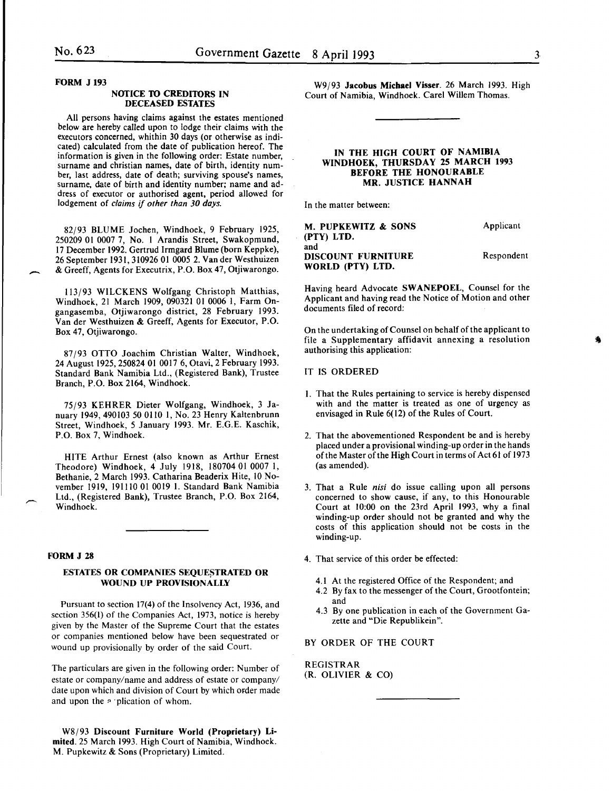#### FORM J 193

-

#### NOTICE TO CREDITORS IN DECEASED ESTATES

All persons having claims against the estates mentioned below are hereby called upon to lodge their claims with the executors concerned, whithin 30 days (or otherwise as indicated) calculated from the date of publication hereof. The information is given in the following order: Estate number, surname and christian names, date of birth, identity number, last address, date of death; surviving spouse's names, surname, date of birth and identity number; name and address of executor or authorised agent, period allowed for lodgement of *claims* if *other than 30 days.* 

82/93 BLUME Jochen, Windhoek, 9 February 1925, 250209 01 0007 7, No. I Arandis Street, Swakopmund, 17 December 1992. Gertrud Irmgard Blume (born Keppke), 26 September 1931,310926 01 0005 2. Vander Westhuizen & Greeff, Agents for Executrix, P.O. Box 47, Otjiwarongo.

113/93 WILCKENS Wolfgang Christoph Matthias, Windhoek, 21 March 1909, 090321 01 0006 I, Farm Ongangasemba, Otjiwarongo district, 28 February 1993. Van der Westhuizen & Greeff, Agents for Executor, P.O. Box 47, Otjiwarongo.

87/93 OTTO Joachim Christian Walter, Windhoek, 24 August 1925,250824 01 0017 6, Otavi, 2 February 1993. Standard Bank Namibia Ltd., (Registered Bank), Trustee Branch, P.O. Box 2164, Windhoek.

75/93 KEHRER Dieter Wolfgang, Windhoek, 3 January 1949, 490103 50 0110 1, No. 23 Henry Kaltenbrunn Street, Windhoek, 5 January 1993. Mr. E.G.E. Kaschik, P.O. Box 7, Windhoek.

HITE Arthur Ernest (also known as Arthur Ernest Theodore) Windhoek, 4 July 1918, 180704 01 0007 I, Bethanie, 2 March 1993. Catharina Beaderix Hite, 10 November 1919, 191110 01 0019 I. Standard Bank Namibia Ltd., (Registered Bank), Trustee Branch, P.O. Box 2164, Windhoek.

#### FORM J 28

#### ESTATES OR COMPANIES SEQUESTRATED OR WOUND UP PROVISIONALLY

Pursuant to section 17(4) of the Insolvency Act, 1936, and section 356(1) of the Companies Act, 1973, notice is hereby given by the Master of the Supreme Court that the estates or companies mentioned below have been sequestrated or wound up provisionally by order of the said Court.

The particulars are given in the following order: Number of estate or company/name and address of estate or company/ date upon which and division of Court by which order made and upon the *n* plication of whom.

W8j93 Discount Furniture World (Proprietary) Limited. 25 March 1993. High Court of Namibia, Windhoek. M. Pupkewitz & Sons (Proprietary) Limited.

W9/93 Jacobus Michael Visser. 26 March 1993. High Court of Namibia, Windhoek. Carel Willem Thomas.

#### IN THE HIGH COURT OF NAMIBIA WINDHOEK, THURSDAY 25 MARCH 1993 BEFORE THE HONOURABLE MR. JUSTICE HANNAH

In the matter between:

| <b>M. PUPKEWITZ &amp; SONS</b> | Applicant  |
|--------------------------------|------------|
| (PTY) LTD.                     |            |
| and                            |            |
| <b>DISCOUNT FURNITURE</b>      | Respondent |
| WORLD (PTY) LTD.               |            |

Having heard Advocate SWANEPOEL, Counsel for the Applicant and having read the Notice of Motion and other documents filed of record:

On the undertaking of Counsel on behalf of the applicant to file a Supplementary affidavit annexing a resolution authorising this application:

#### IT IS ORDERED

- I. That the Rules pertaining to service is hereby dispensed with and the matter is treated as one of urgency as envisaged in Rule 6(12) of the Rules of Court.
- 2. That the abovementioned Respondent be and is hereby placed under a provisional winding-up order in the hands of the Master of the High Court in terms of Act 61 of 1973 (as amended).
- 3. That a Rule nisi do issue calling upon all persons concerned to show cause, if any, to this Honourable Court at 10:00 on the 23rd April 1993, why a final winding-up order should not be granted and why the costs of this application should not be costs in the winding-up.
- 4. That service of this order be effected:
	- 4.1 At the registered Office of the Respondent; and
	- 4.2 By fax to the messenger of the Court, Grootfontein; and
	- 4.3 By one publication in each of the Government Gazette and "Die Republikein".

BY ORDER OF THE COURT

REGISTRAR (R. OLIVIER & CO)